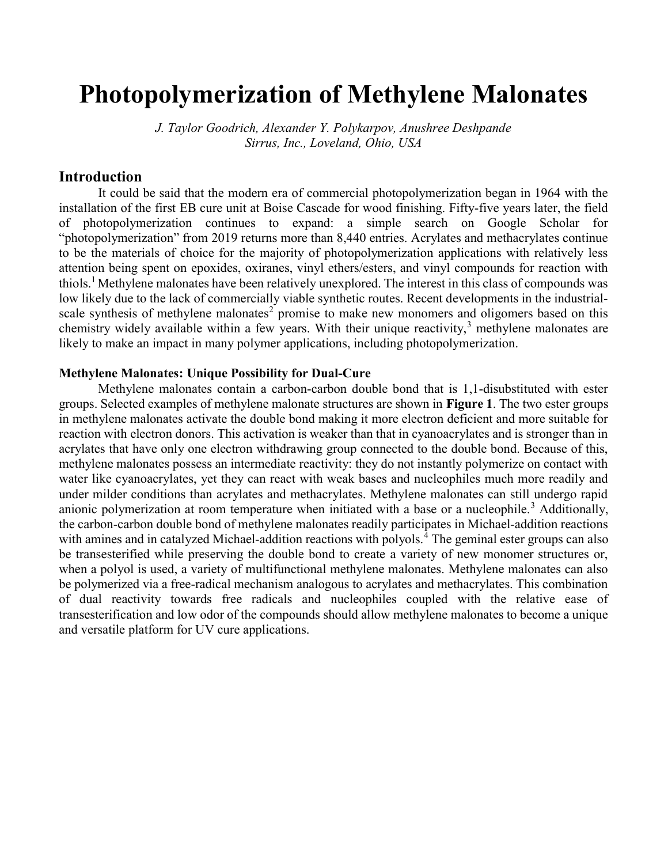# Photopolymerization of Methylene Malonates

J. Taylor Goodrich, Alexander Y. Polykarpov, Anushree Deshpande Sirrus, Inc., Loveland, Ohio, USA

## Introduction

It could be said that the modern era of commercial photopolymerization began in 1964 with the installation of the first EB cure unit at Boise Cascade for wood finishing. Fifty-five years later, the field of photopolymerization continues to expand: a simple search on Google Scholar for "photopolymerization" from 2019 returns more than 8,440 entries. Acrylates and methacrylates continue to be the materials of choice for the majority of photopolymerization applications with relatively less attention being spent on epoxides, oxiranes, vinyl ethers/esters, and vinyl compounds for reaction with thiols.<sup>1</sup> Methylene malonates have been relatively unexplored. The interest in this class of compounds was low likely due to the lack of commercially viable synthetic routes. Recent developments in the industrialscale synthesis of methylene malonates<sup>2</sup> promise to make new monomers and oligomers based on this chemistry widely available within a few years. With their unique reactivity, $3$  methylene malonates are likely to make an impact in many polymer applications, including photopolymerization.

#### Methylene Malonates: Unique Possibility for Dual-Cure

Methylene malonates contain a carbon-carbon double bond that is 1,1-disubstituted with ester groups. Selected examples of methylene malonate structures are shown in Figure 1. The two ester groups in methylene malonates activate the double bond making it more electron deficient and more suitable for reaction with electron donors. This activation is weaker than that in cyanoacrylates and is stronger than in acrylates that have only one electron withdrawing group connected to the double bond. Because of this, methylene malonates possess an intermediate reactivity: they do not instantly polymerize on contact with water like cyanoacrylates, yet they can react with weak bases and nucleophiles much more readily and under milder conditions than acrylates and methacrylates. Methylene malonates can still undergo rapid anionic polymerization at room temperature when initiated with a base or a nucleophile.<sup>3</sup> Additionally, the carbon-carbon double bond of methylene malonates readily participates in Michael-addition reactions with amines and in catalyzed Michael-addition reactions with polyols.<sup>4</sup> The geminal ester groups can also be transesterified while preserving the double bond to create a variety of new monomer structures or, when a polyol is used, a variety of multifunctional methylene malonates. Methylene malonates can also be polymerized via a free-radical mechanism analogous to acrylates and methacrylates. This combination of dual reactivity towards free radicals and nucleophiles coupled with the relative ease of transesterification and low odor of the compounds should allow methylene malonates to become a unique and versatile platform for UV cure applications.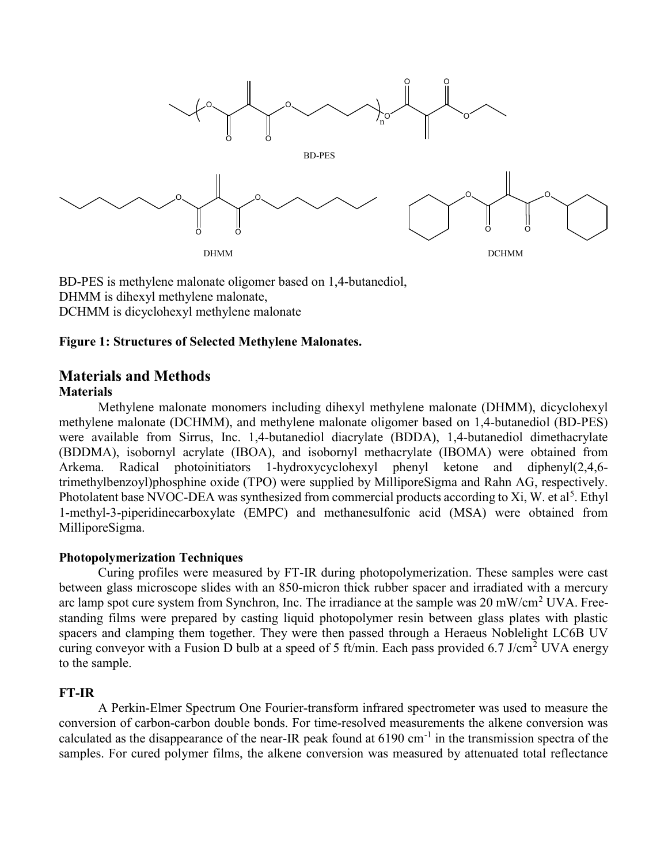

BD-PES is methylene malonate oligomer based on 1,4-butanediol, DHMM is dihexyl methylene malonate, DCHMM is dicyclohexyl methylene malonate

#### Figure 1: Structures of Selected Methylene Malonates.

# Materials and Methods **Materials**

Methylene malonate monomers including dihexyl methylene malonate (DHMM), dicyclohexyl methylene malonate (DCHMM), and methylene malonate oligomer based on 1,4-butanediol (BD-PES) were available from Sirrus, Inc. 1,4-butanediol diacrylate (BDDA), 1,4-butanediol dimethacrylate (BDDMA), isobornyl acrylate (IBOA), and isobornyl methacrylate (IBOMA) were obtained from Arkema. Radical photoinitiators 1-hydroxycyclohexyl phenyl ketone and diphenyl(2,4,6 trimethylbenzoyl)phosphine oxide (TPO) were supplied by MilliporeSigma and Rahn AG, respectively. Photolatent base NVOC-DEA was synthesized from commercial products according to Xi, W. et al<sup>5</sup>. Ethyl 1-methyl-3-piperidinecarboxylate (EMPC) and methanesulfonic acid (MSA) were obtained from MilliporeSigma.

#### Photopolymerization Techniques

Curing profiles were measured by FT-IR during photopolymerization. These samples were cast between glass microscope slides with an 850-micron thick rubber spacer and irradiated with a mercury arc lamp spot cure system from Synchron, Inc. The irradiance at the sample was 20 mW/cm<sup>2</sup> UVA. Freestanding films were prepared by casting liquid photopolymer resin between glass plates with plastic spacers and clamping them together. They were then passed through a Heraeus Noblelight LC6B UV curing conveyor with a Fusion D bulb at a speed of 5 ft/min. Each pass provided 6.7 J/cm<sup>2</sup> UVA energy to the sample.

# FT-IR

A Perkin-Elmer Spectrum One Fourier-transform infrared spectrometer was used to measure the conversion of carbon-carbon double bonds. For time-resolved measurements the alkene conversion was calculated as the disappearance of the near-IR peak found at  $6190 \text{ cm}^{-1}$  in the transmission spectra of the samples. For cured polymer films, the alkene conversion was measured by attenuated total reflectance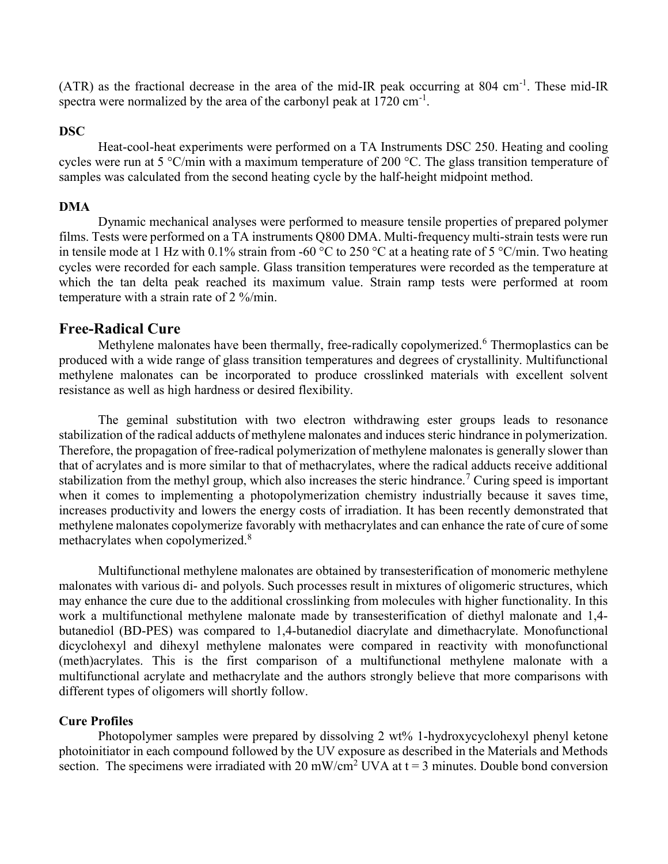(ATR) as the fractional decrease in the area of the mid-IR peak occurring at 804 cm-1. These mid-IR spectra were normalized by the area of the carbonyl peak at  $1720 \text{ cm}^{-1}$ .

#### DSC

Heat-cool-heat experiments were performed on a TA Instruments DSC 250. Heating and cooling cycles were run at 5 °C/min with a maximum temperature of 200 °C. The glass transition temperature of samples was calculated from the second heating cycle by the half-height midpoint method.

#### DMA

Dynamic mechanical analyses were performed to measure tensile properties of prepared polymer films. Tests were performed on a TA instruments Q800 DMA. Multi-frequency multi-strain tests were run in tensile mode at 1 Hz with 0.1% strain from -60 °C to 250 °C at a heating rate of 5 °C/min. Two heating cycles were recorded for each sample. Glass transition temperatures were recorded as the temperature at which the tan delta peak reached its maximum value. Strain ramp tests were performed at room temperature with a strain rate of 2 %/min.

#### Free-Radical Cure

Methylene malonates have been thermally, free-radically copolymerized.<sup>6</sup> Thermoplastics can be produced with a wide range of glass transition temperatures and degrees of crystallinity. Multifunctional methylene malonates can be incorporated to produce crosslinked materials with excellent solvent resistance as well as high hardness or desired flexibility.

The geminal substitution with two electron withdrawing ester groups leads to resonance stabilization of the radical adducts of methylene malonates and induces steric hindrance in polymerization. Therefore, the propagation of free-radical polymerization of methylene malonates is generally slower than that of acrylates and is more similar to that of methacrylates, where the radical adducts receive additional stabilization from the methyl group, which also increases the steric hindrance.<sup>7</sup> Curing speed is important when it comes to implementing a photopolymerization chemistry industrially because it saves time, increases productivity and lowers the energy costs of irradiation. It has been recently demonstrated that methylene malonates copolymerize favorably with methacrylates and can enhance the rate of cure of some methacrylates when copolymerized.<sup>8</sup>

Multifunctional methylene malonates are obtained by transesterification of monomeric methylene malonates with various di- and polyols. Such processes result in mixtures of oligomeric structures, which may enhance the cure due to the additional crosslinking from molecules with higher functionality. In this work a multifunctional methylene malonate made by transesterification of diethyl malonate and 1,4 butanediol (BD-PES) was compared to 1,4-butanediol diacrylate and dimethacrylate. Monofunctional dicyclohexyl and dihexyl methylene malonates were compared in reactivity with monofunctional (meth)acrylates. This is the first comparison of a multifunctional methylene malonate with a multifunctional acrylate and methacrylate and the authors strongly believe that more comparisons with different types of oligomers will shortly follow.

#### Cure Profiles

Photopolymer samples were prepared by dissolving 2 wt% 1-hydroxycyclohexyl phenyl ketone photoinitiator in each compound followed by the UV exposure as described in the Materials and Methods section. The specimens were irradiated with 20 mW/cm<sup>2</sup> UVA at  $t = 3$  minutes. Double bond conversion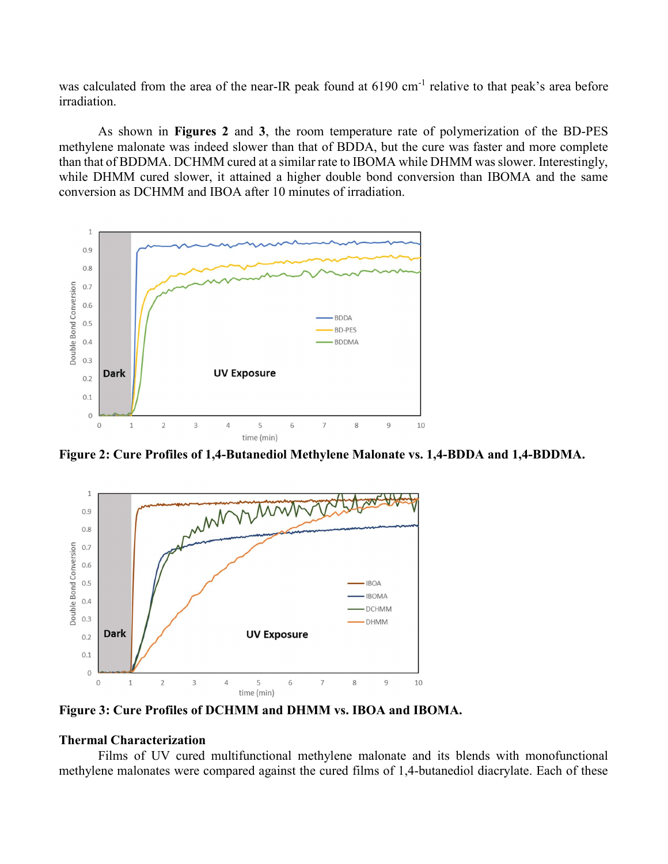was calculated from the area of the near-IR peak found at 6190 cm<sup>-1</sup> relative to that peak's area before irradiation.

As shown in Figures 2 and 3, the room temperature rate of polymerization of the BD-PES methylene malonate was indeed slower than that of BDDA, but the cure was faster and more complete than that of BDDMA. DCHMM cured at a similar rate to IBOMA while DHMM was slower. Interestingly, while DHMM cured slower, it attained a higher double bond conversion than IBOMA and the same conversion as DCHMM and IBOA after 10 minutes of irradiation.



Figure 2: Cure Profiles of 1,4-Butanediol Methylene Malonate vs. 1,4-BDDA and 1,4-BDDMA.



Figure 3: Cure Profiles of DCHMM and DHMM vs. IBOA and IBOMA.

#### Thermal Characterization

Films of UV cured multifunctional methylene malonate and its blends with monofunctional methylene malonates were compared against the cured films of 1,4-butanediol diacrylate. Each of these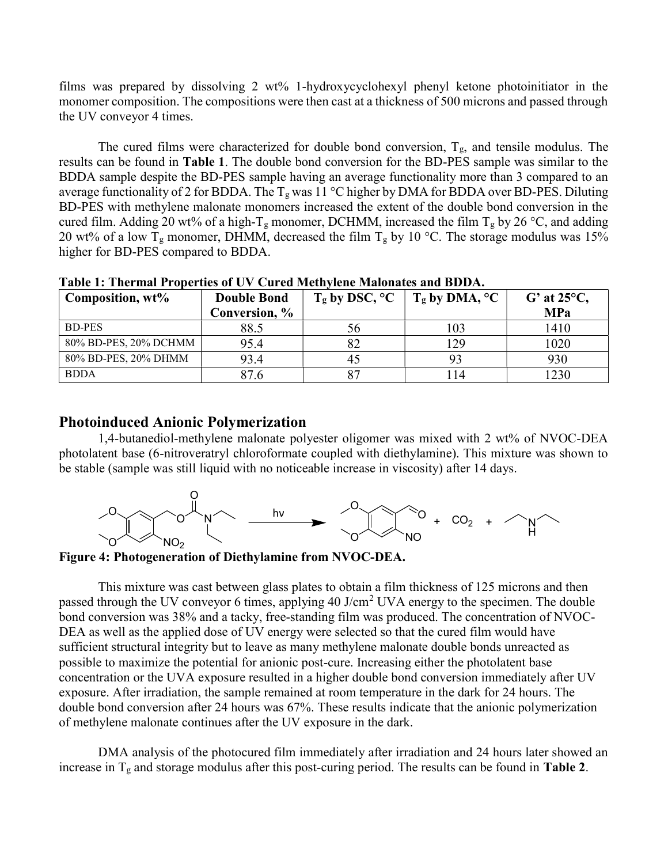films was prepared by dissolving 2 wt% 1-hydroxycyclohexyl phenyl ketone photoinitiator in the monomer composition. The compositions were then cast at a thickness of 500 microns and passed through the UV conveyor 4 times.

The cured films were characterized for double bond conversion,  $T_g$ , and tensile modulus. The results can be found in Table 1. The double bond conversion for the BD-PES sample was similar to the BDDA sample despite the BD-PES sample having an average functionality more than 3 compared to an average functionality of 2 for BDDA. The  $T_g$  was 11 °C higher by DMA for BDDA over BD-PES. Diluting BD-PES with methylene malonate monomers increased the extent of the double bond conversion in the cured film. Adding 20 wt% of a high-T<sub>g</sub> monomer, DCHMM, increased the film T<sub>g</sub> by 26 °C, and adding 20 wt% of a low T<sub>g</sub> monomer, DHMM, decreased the film T<sub>g</sub> by 10 °C. The storage modulus was 15% higher for BD-PES compared to BDDA.

| Composition, wt%      | <b>Double Bond</b> | $T_g$ by DSC, $^{\circ}C$ | $T_g$ by DMA, $^{\circ}C$ | $G'$ at 25 $\rm ^{o}C$ , |
|-----------------------|--------------------|---------------------------|---------------------------|--------------------------|
|                       | Conversion, %      |                           |                           | <b>MPa</b>               |
| BD-PES                | 88.5               | 56                        | 103                       | 1410                     |
| 80% BD-PES, 20% DCHMM | 95.4               |                           | 129                       | 1020                     |
| 80% BD-PES, 20% DHMM  | 93.4               | 45                        |                           | 930                      |
| <b>BDDA</b>           |                    |                           | 14                        | 230                      |

Table 1: Thermal Properties of UV Cured Methylene Malonates and BDDA.

# Photoinduced Anionic Polymerization

1,4-butanediol-methylene malonate polyester oligomer was mixed with 2 wt% of NVOC-DEA photolatent base (6-nitroveratryl chloroformate coupled with diethylamine). This mixture was shown to be stable (sample was still liquid with no noticeable increase in viscosity) after 14 days.



Figure 4: Photogeneration of Diethylamine from NVOC-DEA.

This mixture was cast between glass plates to obtain a film thickness of 125 microns and then passed through the UV conveyor 6 times, applying 40 J/cm<sup>2</sup> UVA energy to the specimen. The double bond conversion was 38% and a tacky, free-standing film was produced. The concentration of NVOC-DEA as well as the applied dose of UV energy were selected so that the cured film would have sufficient structural integrity but to leave as many methylene malonate double bonds unreacted as possible to maximize the potential for anionic post-cure. Increasing either the photolatent base concentration or the UVA exposure resulted in a higher double bond conversion immediately after UV exposure. After irradiation, the sample remained at room temperature in the dark for 24 hours. The double bond conversion after 24 hours was 67%. These results indicate that the anionic polymerization of methylene malonate continues after the UV exposure in the dark.

DMA analysis of the photocured film immediately after irradiation and 24 hours later showed an increase in  $T_g$  and storage modulus after this post-curing period. The results can be found in Table 2.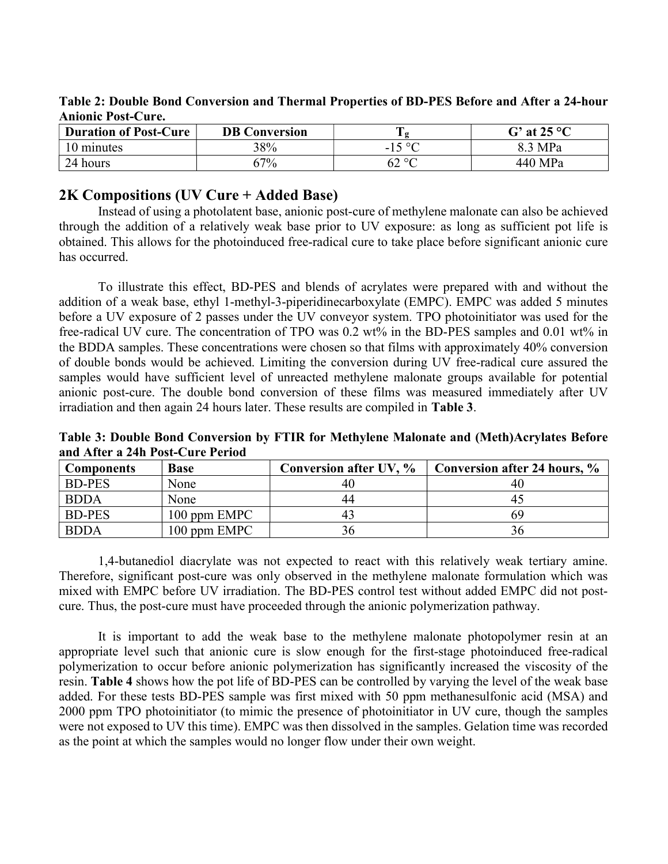Table 2: Double Bond Conversion and Thermal Properties of BD-PES Before and After a 24-hour Anionic Post-Cure.

| <b>Duration of Post-Cure</b> | <b>DB Conversion</b> | ┮           | G' at $25^{\circ}$ C |
|------------------------------|----------------------|-------------|----------------------|
| 10 minutes                   | 38%                  | $150^\circ$ | 8.3 MPa              |
| 24 hours                     | $57\%$               | 62 °C       | 440 MPa              |

### 2K Compositions (UV Cure + Added Base)

Instead of using a photolatent base, anionic post-cure of methylene malonate can also be achieved through the addition of a relatively weak base prior to UV exposure: as long as sufficient pot life is obtained. This allows for the photoinduced free-radical cure to take place before significant anionic cure has occurred.

To illustrate this effect, BD-PES and blends of acrylates were prepared with and without the addition of a weak base, ethyl 1-methyl-3-piperidinecarboxylate (EMPC). EMPC was added 5 minutes before a UV exposure of 2 passes under the UV conveyor system. TPO photoinitiator was used for the free-radical UV cure. The concentration of TPO was 0.2 wt% in the BD-PES samples and 0.01 wt% in the BDDA samples. These concentrations were chosen so that films with approximately 40% conversion of double bonds would be achieved. Limiting the conversion during UV free-radical cure assured the samples would have sufficient level of unreacted methylene malonate groups available for potential anionic post-cure. The double bond conversion of these films was measured immediately after UV irradiation and then again 24 hours later. These results are compiled in Table 3.

Table 3: Double Bond Conversion by FTIR for Methylene Malonate and (Meth)Acrylates Before and After a 24h Post-Cure Period

| <b>Components</b> | <b>Base</b>  | Conversion after UV, % | Conversion after 24 hours, % |
|-------------------|--------------|------------------------|------------------------------|
| <b>BD-PES</b>     | None         | 40                     | 40                           |
| <b>BDDA</b>       | None         | 44                     | 41                           |
| <b>BD-PES</b>     | 100 ppm EMPC | 43                     | 69                           |
| <b>BDDA</b>       | 100 ppm EMPC | 36                     |                              |

1,4-butanediol diacrylate was not expected to react with this relatively weak tertiary amine. Therefore, significant post-cure was only observed in the methylene malonate formulation which was mixed with EMPC before UV irradiation. The BD-PES control test without added EMPC did not postcure. Thus, the post-cure must have proceeded through the anionic polymerization pathway.

It is important to add the weak base to the methylene malonate photopolymer resin at an appropriate level such that anionic cure is slow enough for the first-stage photoinduced free-radical polymerization to occur before anionic polymerization has significantly increased the viscosity of the resin. Table 4 shows how the pot life of BD-PES can be controlled by varying the level of the weak base added. For these tests BD-PES sample was first mixed with 50 ppm methanesulfonic acid (MSA) and 2000 ppm TPO photoinitiator (to mimic the presence of photoinitiator in UV cure, though the samples were not exposed to UV this time). EMPC was then dissolved in the samples. Gelation time was recorded as the point at which the samples would no longer flow under their own weight.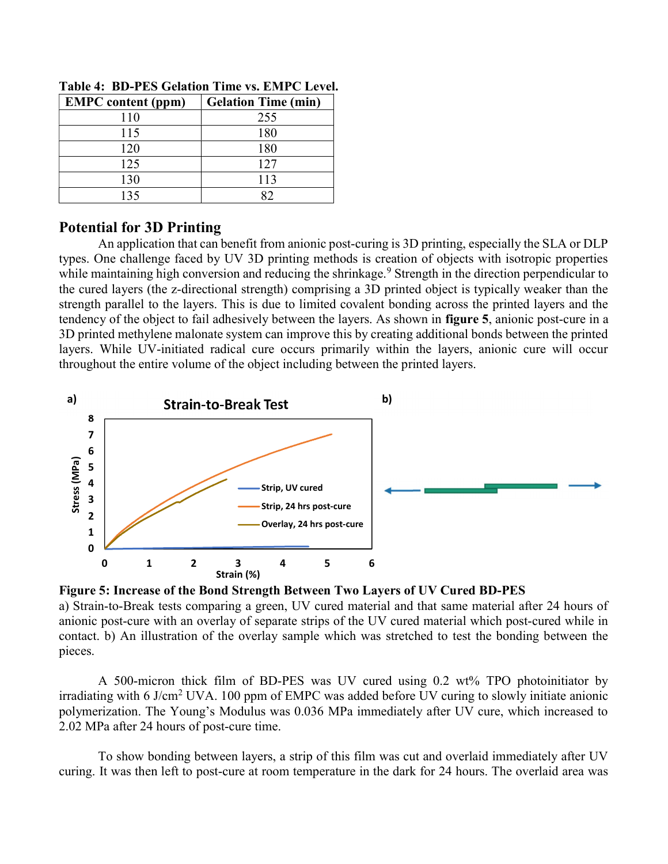| <b>EMPC</b> content (ppm) | <b>Gelation Time (min)</b> |
|---------------------------|----------------------------|
| 110                       | 255                        |
| 115                       | 180                        |
| 120                       | 180                        |
| 125                       | 127                        |
| 130                       | 113                        |
| 135                       |                            |

Table 4: BD-PES Gelation Time vs. EMPC Level.

# Potential for 3D Printing

An application that can benefit from anionic post-curing is 3D printing, especially the SLA or DLP types. One challenge faced by UV 3D printing methods is creation of objects with isotropic properties while maintaining high conversion and reducing the shrinkage.<sup>9</sup> Strength in the direction perpendicular to the cured layers (the z-directional strength) comprising a 3D printed object is typically weaker than the strength parallel to the layers. This is due to limited covalent bonding across the printed layers and the tendency of the object to fail adhesively between the layers. As shown in figure 5, anionic post-cure in a 3D printed methylene malonate system can improve this by creating additional bonds between the printed layers. While UV-initiated radical cure occurs primarily within the layers, anionic cure will occur throughout the entire volume of the object including between the printed layers.





a) Strain-to-Break tests comparing a green, UV cured material and that same material after 24 hours of anionic post-cure with an overlay of separate strips of the UV cured material which post-cured while in contact. b) An illustration of the overlay sample which was stretched to test the bonding between the pieces.

A 500-micron thick film of BD-PES was UV cured using 0.2 wt% TPO photoinitiator by irradiating with 6 J/cm<sup>2</sup> UVA. 100 ppm of EMPC was added before UV curing to slowly initiate anionic polymerization. The Young's Modulus was 0.036 MPa immediately after UV cure, which increased to 2.02 MPa after 24 hours of post-cure time.

To show bonding between layers, a strip of this film was cut and overlaid immediately after UV curing. It was then left to post-cure at room temperature in the dark for 24 hours. The overlaid area was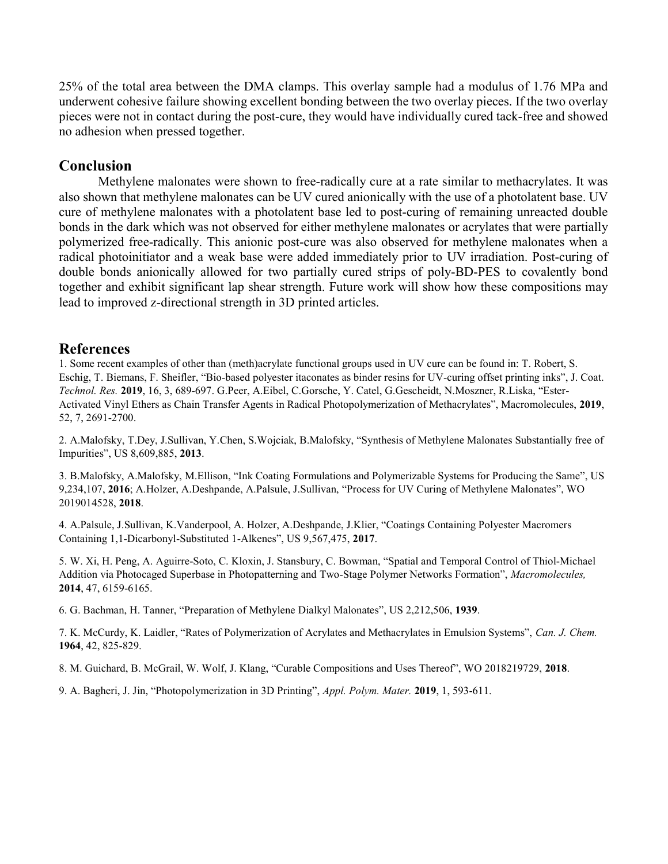25% of the total area between the DMA clamps. This overlay sample had a modulus of 1.76 MPa and underwent cohesive failure showing excellent bonding between the two overlay pieces. If the two overlay pieces were not in contact during the post-cure, they would have individually cured tack-free and showed no adhesion when pressed together.

#### Conclusion

Methylene malonates were shown to free-radically cure at a rate similar to methacrylates. It was also shown that methylene malonates can be UV cured anionically with the use of a photolatent base. UV cure of methylene malonates with a photolatent base led to post-curing of remaining unreacted double bonds in the dark which was not observed for either methylene malonates or acrylates that were partially polymerized free-radically. This anionic post-cure was also observed for methylene malonates when a radical photoinitiator and a weak base were added immediately prior to UV irradiation. Post-curing of double bonds anionically allowed for two partially cured strips of poly-BD-PES to covalently bond together and exhibit significant lap shear strength. Future work will show how these compositions may lead to improved z-directional strength in 3D printed articles.

#### References

1. Some recent examples of other than (meth)acrylate functional groups used in UV cure can be found in: T. Robert, S. Eschig, T. Biemans, F. Sheifler, "Bio-based polyester itaconates as binder resins for UV-curing offset printing inks", J. Coat. Technol. Res. 2019, 16, 3, 689-697. G.Peer, A.Eibel, C.Gorsche, Y. Catel, G.Gescheidt, N.Moszner, R.Liska, "Ester-Activated Vinyl Ethers as Chain Transfer Agents in Radical Photopolymerization of Methacrylates", Macromolecules, 2019, 52, 7, 2691-2700.

2. A.Malofsky, T.Dey, J.Sullivan, Y.Chen, S.Wojciak, B.Malofsky, "Synthesis of Methylene Malonates Substantially free of Impurities", US 8,609,885, 2013.

3. B.Malofsky, A.Malofsky, M.Ellison, "Ink Coating Formulations and Polymerizable Systems for Producing the Same", US 9,234,107, 2016; A.Holzer, A.Deshpande, A.Palsule, J.Sullivan, "Process for UV Curing of Methylene Malonates", WO 2019014528, 2018.

4. A.Palsule, J.Sullivan, K.Vanderpool, A. Holzer, A.Deshpande, J.Klier, "Coatings Containing Polyester Macromers Containing 1,1-Dicarbonyl-Substituted 1-Alkenes", US 9,567,475, 2017.

5. W. Xi, H. Peng, A. Aguirre-Soto, C. Kloxin, J. Stansbury, C. Bowman, "Spatial and Temporal Control of Thiol-Michael Addition via Photocaged Superbase in Photopatterning and Two-Stage Polymer Networks Formation", Macromolecules, 2014, 47, 6159-6165.

6. G. Bachman, H. Tanner, "Preparation of Methylene Dialkyl Malonates", US 2,212,506, 1939.

7. K. McCurdy, K. Laidler, "Rates of Polymerization of Acrylates and Methacrylates in Emulsion Systems", Can. J. Chem. 1964, 42, 825-829.

8. M. Guichard, B. McGrail, W. Wolf, J. Klang, "Curable Compositions and Uses Thereof", WO 2018219729, 2018.

9. A. Bagheri, J. Jin, "Photopolymerization in 3D Printing", Appl. Polym. Mater. 2019, 1, 593-611.